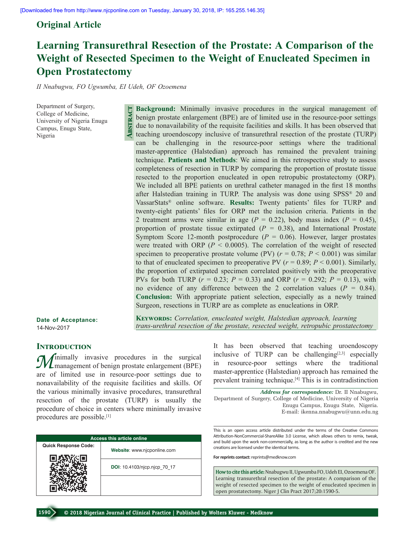# **Original Article**

# **Learning Transurethral Resection of the Prostate: A Comparison of the Weight of Resected Specimen to the Weight of Enucleated Specimen in Open Prostatectomy**

*II Nnabugwu, FO Ugwumba, EI Udeh, OF Ozoemena*

**Abstract**

Department of Surgery, College of Medicine, University of Nigeria Enugu Campus, Enugu State, Nigeria

**Background:** Minimally invasive procedures in the surgical management of benign prostate enlargement (BPE) are of limited use in the resource-poor settings due to nonavailability of the requisite facilities and skills. It has been observed that teaching uroendoscopy inclusive of transurethral resection of the prostate (TURP) can be challenging in the resource-poor settings where the traditional master-apprentice (Halstedian) approach has remained the prevalent training technique. **Patients and Methods**: We aimed in this retrospective study to assess completeness of resection in TURP by comparing the proportion of prostate tissue resected to the proportion enucleated in open retropubic prostatectomy (ORP). We included all BPE patients on urethral catheter managed in the first 18 months after Halstedian training in TURP. The analysis was done using SPSS® 20 and VassarStats® online software. **Results:** Twenty patients' files for TURP and twenty‑eight patients' files for ORP met the inclusion criteria. Patients in the 2 treatment arms were similar in age  $(P = 0.22)$ , body mass index  $(P = 0.45)$ , proportion of prostate tissue extirpated  $(P = 0.38)$ , and International Prostate Symptom Score 12-month postprocedure  $(P = 0.06)$ . However, larger prostates were treated with ORP ( $P < 0.0005$ ). The correlation of the weight of resected specimen to preoperative prostate volume (PV)  $(r = 0.78; P \le 0.001)$  was similar to that of enucleated specimen to preoperative PV  $(r = 0.89; P \le 0.001)$ . Similarly, the proportion of extirpated specimen correlated positively with the preoperative PVs for both TURP (*r* = 0.23; *P* = 0.33) and ORP (*r* = 0.292; *P* = 0.13), with no evidence of any difference between the 2 correlation values  $(P = 0.84)$ . **Conclusion:** With appropriate patient selection, especially as a newly trained Surgeon, resections in TURP are as complete as enucleations in ORP.

**Date of Acceptance:** 14-Nov-2017

**Keywords:** *Correlation, enucleated weight, Halstedian approach, learning trans‑urethral resection of the prostate, resected weight, retropubic prostatectomy*

## **Introduction**

*M* inimally invasive procedures in the surgical management of benign prostate enlargement (BPE) are of limited use in resource‑poor settings due to nonavailability of the requisite facilities and skills. Of the various minimally invasive procedures, transurethral resection of the prostate (TURP) is usually the procedure of choice in centers where minimally invasive procedures are possible.[1]

| <b>Access this article online</b> |                              |  |  |  |
|-----------------------------------|------------------------------|--|--|--|
| <b>Quick Response Code:</b>       | Website: www.njcponline.com  |  |  |  |
|                                   | DOI: 10.4103/njcp.njcp 70 17 |  |  |  |
|                                   |                              |  |  |  |

It has been observed that teaching uroendoscopy inclusive of TURP can be challenging $[2,3]$  especially resource-poor settings where the traditional master‑apprentice (Halstedian) approach has remained the prevalent training technique.[4] This is in contradistinction

*Address for correspondence:* Dr. II Nnabugwu, Department of Surgery, College of Medicine, University of Nigeria Enugu Campus, Enugu State, Nigeria. E‑mail: ikenna.nnabugwu@unn.edu.ng

This is an open access article distributed under the terms of the Creative Commons Attribution-NonCommercial-ShareAlike 3.0 License, which allows others to remix, tweak, and build upon the work non-commercially, as long as the author is credited and the new creations are licensed under the identical terms.

**For reprints contact:** reprints@medknow.com

**How to cite this article:** Nnabugwu II, Ugwumba FO, Udeh EI, Ozoemena OF. Learning transurethral resection of the prostate: A comparison of the weight of resected specimen to the weight of enucleated specimen in open prostatectomy. Niger J Clin Pract 2017;20:1590-5.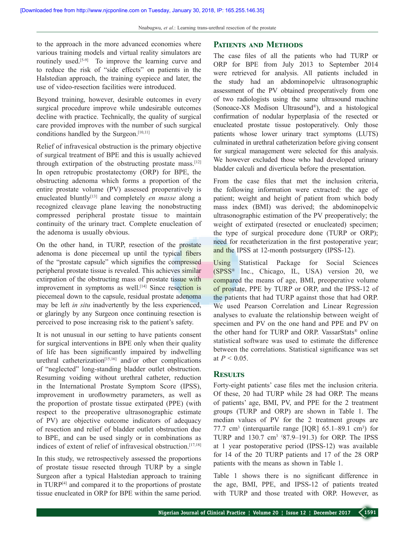to the approach in the more advanced economies where various training models and virtual reality simulators are routinely used.<sup>[5-9]</sup> To improve the learning curve and to reduce the risk of "side effects" on patients in the Halstedian approach, the training eyepiece and later, the use of video‑resection facilities were introduced.

Beyond training, however, desirable outcomes in every surgical procedure improve while undesirable outcomes decline with practice. Technically, the quality of surgical care provided improves with the number of such surgical conditions handled by the Surgeon.<sup>[10,11]</sup>

Relief of infravesical obstruction is the primary objective of surgical treatment of BPE and this is usually achieved through extirpation of the obstructing prostate mass.[12] In open retropubic prostatectomy (ORP) for BPE, the obstructing adenoma which forms a proportion of the entire prostate volume (PV) assessed preoperatively is enucleated bluntly<sup>[13]</sup> and completely *en masse* along a recognized cleavage plane leaving the nonobstructing compressed peripheral prostate tissue to maintain continuity of the urinary tract. Complete enucleation of the adenoma is usually obvious.

On the other hand, in TURP, resection of the prostate adenoma is done piecemeal up until the typical fibers of the "prostate capsule" which signifies the compressed peripheral prostate tissue is revealed. This achieves similar extirpation of the obstructing mass of prostate tissue with improvement in symptoms as well.<sup>[14]</sup> Since resection is piecemeal down to the capsule, residual prostate adenoma may be left *in situ* inadvertently by the less experienced, or glaringly by any Surgeon once continuing resection is perceived to pose increasing risk to the patient's safety.

It is not unusual in our setting to have patients consent for surgical interventions in BPE only when their quality of life has been significantly impaired by indwelling urethral catheterization<sup>[15,16]</sup> and/or other complications of "neglected" long‑standing bladder outlet obstruction. Resuming voiding without urethral catheter, reduction in the International Prostate Symptom Score (IPSS), improvement in uroflowmetry parameters, as well as the proportion of prostate tissue extirpated (PPE) (with respect to the preoperative ultrasonographic estimate of PV) are objective outcome indicators of adequacy of resection and relief of bladder outlet obstruction due to BPE, and can be used singly or in combinations as indices of extent of relief of infravesical obstruction.<sup>[17,18]</sup>

In this study, we retrospectively assessed the proportions of prostate tissue resected through TURP by a single Surgeon after a typical Halstedian approach to training in TURP[4] and compared it to the proportions of prostate tissue enucleated in ORP for BPE within the same period.

### **Patients and Methods**

The case files of all the patients who had TURP or ORP for BPE from July 2013 to September 2014 were retrieved for analysis. All patients included in the study had an abdominopelvic ultrasonographic assessment of the PV obtained preoperatively from one of two radiologists using the same ultrasound machine (Sonoace‑X8 Medison Ultrasound®), and a histological confirmation of nodular hyperplasia of the resected or enucleated prostate tissue postoperatively. Only those patients whose lower urinary tract symptoms (LUTS) culminated in urethral catheterization before giving consent for surgical management were selected for this analysis. We however excluded those who had developed urinary bladder calculi and diverticula before the presentation.

From the case files that met the inclusion criteria, the following information were extracted: the age of patient; weight and height of patient from which body mass index (BMI) was derived; the abdominopelvic ultrasonographic estimation of the PV preoperatively; the weight of extirpated (resected or enucleated) specimen; the type of surgical procedure done (TURP or ORP); need for recatheterization in the first postoperative year; and the IPSS at 12‑month postsurgery (IPSS‑12).

Using Statistical Package for Social Sciences (SPSS® Inc., Chicago, IL, USA) version 20, we compared the means of age, BMI, preoperative volume of prostate, PPE by TURP or ORP, and the IPSS‑12 of the patients that had TURP against those that had ORP. We used Pearson Correlation and Linear Regression analyses to evaluate the relationship between weight of specimen and PV on the one hand and PPE and PV on the other hand for TURP and ORP. VassarStats® online statistical software was used to estimate the difference between the correlations. Statistical significance was set at  $P < 0.05$ .

#### **Results**

Forty-eight patients' case files met the inclusion criteria. Of these, 20 had TURP while 28 had ORP. The means of patients' age, BMI, PV, and PPE for the 2 treatment groups (TURP and ORP) are shown in Table 1. The median values of PV for the 2 treatment groups are 77.7 cm<sup>3</sup> (interquartile range [IQR]  $65.1-89.1$  cm<sup>3</sup>) for TURP and  $130.7 \text{ cm}^3$  (87.9–191.3) for ORP. The IPSS at 1 year postoperative period (IPSS‑12) was available for 14 of the 20 TURP patients and 17 of the 28 ORP patients with the means as shown in Table 1.

Table 1 shows there is no significant difference in the age, BMI, PPE, and IPSS‑12 of patients treated with TURP and those treated with ORP. However, as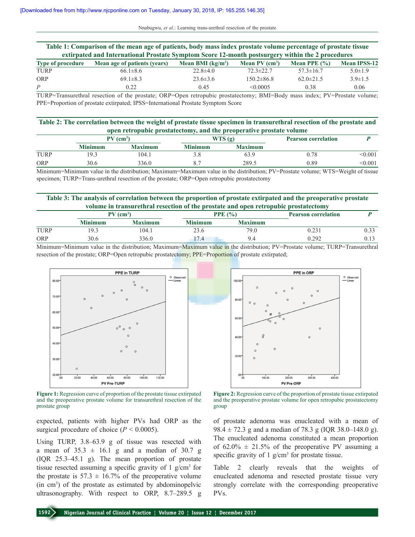| Table 1: Comparison of the mean age of patients, body mass index prostate volume percentage of prostate tissue |                              |                    |                              |                 |                     |  |
|----------------------------------------------------------------------------------------------------------------|------------------------------|--------------------|------------------------------|-----------------|---------------------|--|
| extirpated and International Prostate Symptom Score 12-month postsurgery within the 2 procedures               |                              |                    |                              |                 |                     |  |
| <b>Type of procedure</b>                                                                                       | Mean age of patients (years) | Mean BMI $(kg/m2)$ | Mean $PV$ (cm <sup>3</sup> ) | Mean PPE $(% )$ | <b>Mean IPSS-12</b> |  |
| <b>TURP</b>                                                                                                    | $66.1 \pm 8.6$               | $22.8\pm 4.0$      | $72.3 \pm 22.7$              | $57.3 \pm 16.7$ | $5.0 \pm 1.9$       |  |
| ORP                                                                                                            | $69.1 \pm 8.3$               | $23.6 \pm 3.6$     | $150.2\pm86.8$               | $62.0 \pm 21.5$ | $3.9 \pm 1.5$       |  |
| $\overline{P}$                                                                                                 | 0.22                         | 0.45               | < 0.0005                     | 0.38            | 0.06                |  |

TURP=Transurethral resection of the prostate; ORP=Open retropubic prostatectomy; BMI=Body mass index; PV=Prostate volume; PPE=Proportion of prostate extirpated; IPSS=International Prostate Symptom Score

| Table 2: The correlation between the weight of prostate tissue specimen in transurethral resection of the prostate and |
|------------------------------------------------------------------------------------------------------------------------|
| open retropubic prostatectomy, and the preoperative prostate volume                                                    |

|             | $PV$ (cm <sup>3</sup> ) |                |                | WTS(g)         | <b>Pearson correlation</b> |         |
|-------------|-------------------------|----------------|----------------|----------------|----------------------------|---------|
|             | Minimum                 | <b>Maximum</b> | <b>Minimum</b> | <b>Maximum</b> |                            |         |
| <b>TURP</b> | 19.3                    | 104.1          | J.C            | 63.9           | 0.78                       | < 0.001 |
| <b>ORP</b>  | 30.6                    | 336.0          | o.             | 289.5          | 0.89                       | 0.001   |

Minimum=Minimum value in the distribution; Maximum=Maximum value in the distribution; PV=Prostate volume; WTS=Weight of tissue specimen; TURP=Trans-urethral resection of the prostate; ORP=Open retropubic prostatectomy

#### **Table 3: The analysis of correlation between the proportion of prostate extirpated and the preoperative prostate volume in transurethral resection of the prostate and open retropubic prostatectomy**

|             | $PV$ (cm <sup>3</sup> ) |                | PPE $(% )$     |                | <b>Pearson correlation</b> |  |
|-------------|-------------------------|----------------|----------------|----------------|----------------------------|--|
|             | <b>Minimum</b>          | <b>Maximum</b> | <b>Minimum</b> | <b>Maximum</b> |                            |  |
| <b>TURP</b> | 9.3                     | 104.1          | 23.6           | 79.0           |                            |  |
| <b>ORP</b>  | 30.6                    | 336.0          | 7.4            |                | 0.292                      |  |

Minimum=Minimum value in the distribution; Maximum=Maximum value in the distribution; PV=Prostate volume; TURP=Transurethral resection of the prostate; ORP=Open retropubic prostatectomy; PPE=Proportion of prostate extirpated;



**Figure 1:** Regression curve of proportion of the prostate tissue extirpated and the preoperative prostate volume for transurethral resection of the prostate group

expected, patients with higher PVs had ORP as the surgical procedure of choice  $(P < 0.0005)$ .

Using TURP, 3.8–63.9 g of tissue was resected with a mean of  $35.3 \pm 16.1$  g and a median of  $30.7$  g (IQR 25.3–45.1 g). The mean proportion of prostate tissue resected assuming a specific gravity of  $1$  g/cm<sup>3</sup> for the prostate is  $57.3 \pm 16.7\%$  of the preoperative volume (in cm3 ) of the prostate as estimated by abdominopelvic ultrasonography. With respect to ORP, 8.7–289.5 g



**Figure 2:** Regression curve of the proportion of prostate tissue extirpated and the preoperative prostate volume for open retropubic prostatectomy group

of prostate adenoma was enucleated with a mean of 98.4  $\pm$  72.3 g and a median of 78.3 g (IQR 38.0–148.0 g). The enucleated adenoma constituted a mean proportion of  $62.0\% \pm 21.5\%$  of the preoperative PV assuming a specific gravity of  $1$  g/cm<sup>3</sup> for prostate tissue.

Table 2 clearly reveals that the weights of enucleated adenoma and resected prostate tissue very strongly correlate with the corresponding preoperative PVs.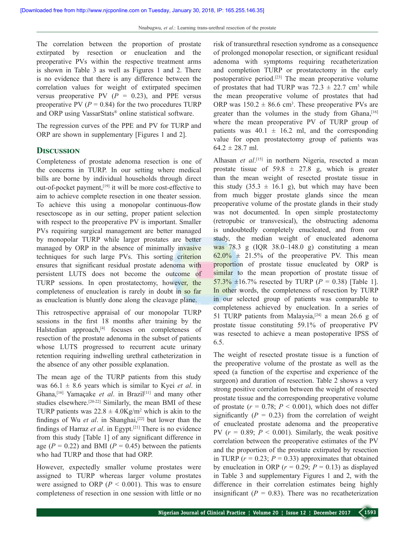The correlation between the proportion of prostate extirpated by resection or enucleation and the preoperative PVs within the respective treatment arms is shown in Table 3 as well as Figures 1 and 2. There is no evidence that there is any difference between the correlation values for weight of extirpated specimen versus preoperative PV  $(P = 0.23)$ , and PPE versus preoperative PV  $(P = 0.84)$  for the two procedures TURP and ORP using VassarStats® online statistical software.

The regression curves of the PPE and PV for TURP and ORP are shown in supplementary [Figures 1 and 2].

#### **DISCUSSION**

Completeness of prostate adenoma resection is one of the concerns in TURP. In our setting where medical bills are borne by individual households through direct out-of-pocket payment,<sup>[19]</sup> it will be more cost-effective to aim to achieve complete resection in one theater session. To achieve this using a monopolar continuous-flow resectoscope as in our setting, proper patient selection with respect to the preoperative PV is important. Smaller PVs requiring surgical management are better managed by monopolar TURP while larger prostates are better managed by ORP in the absence of minimally invasive techniques for such large PVs. This sorting criterion ensures that significant residual prostate adenoma with persistent LUTS does not become the outcome of TURP sessions. In open prostatectomy, however, the completeness of enucleation is rarely in doubt in so far as enucleation is bluntly done along the cleavage plane.

This retrospective appraisal of our monopolar TURP sessions in the first 18 months after training by the Halstedian approach,<sup>[4]</sup> focuses on completeness of resection of the prostate adenoma in the subset of patients whose LUTS progressed to recurrent acute urinary retention requiring indwelling urethral catheterization in the absence of any other possible explanation.

The mean age of the TURP patients from this study was  $66.1 \pm 8.6$  years which is similar to Kyei *et al.* in Ghana,[16] Yamaçake *et al*. in Brazil[11] and many other studies elsewhere.<sup>[20-22]</sup> Similarly, the mean BMI of these TURP patients was  $22.8 \pm 4.0 \text{Kg/m}^2$  which is akin to the findings of Wu *et al*. in Shanghai,[22] but lower than the findings of Harraz *et al*. in Egypt.[21] There is no evidence from this study [Table 1] of any significant difference in age  $(P = 0.22)$  and BMI  $(P = 0.45)$  between the patients who had TURP and those that had ORP.

However, expectedly smaller volume prostates were assigned to TURP whereas larger volume prostates were assigned to ORP  $(P < 0.001)$ . This was to ensure completeness of resection in one session with little or no risk of transurethral resection syndrome as a consequence of prolonged monopolar resection, or significant residual adenoma with symptoms requiring recatheterization and completion TURP or prostatectomy in the early postoperative period.[23] The mean preoperative volume of prostates that had TURP was  $72.3 \pm 22.7$  cm<sup>3</sup> while the mean preoperative volume of prostates that had ORP was  $150.2 \pm 86.6$  cm<sup>3</sup>. These preoperative PVs are greater than the volumes in the study from Ghana,<sup>[16]</sup> where the mean preoperative PV of TURP group of patients was  $40.1 \pm 16.2$  ml, and the corresponding value for open prostatectomy group of patients was  $64.2 \pm 28.7$  ml.

Alhasan *et al*. [15] in northern Nigeria, resected a mean prostate tissue of  $59.8 \pm 27.8$  g, which is greater than the mean weight of resected prostate tissue in this study  $(35.3 \pm 16.1 \text{ g})$ , but which may have been from much bigger prostate glands since the mean preoperative volume of the prostate glands in their study was not documented. In open simple prostatectomy (retropubic or transvesical), the obstructing adenoma is undoubtedly completely enucleated, and from our study, the median weight of enucleated adenoma was  $78.3$  g (IQR  $38.0-148.0$  g) constituting a mean  $62.0\% \pm 21.5\%$  of the preoperative PV. This mean proportion of prostate tissue enucleated by ORP is similar to the mean proportion of prostate tissue of 57.3%  $\pm 16.7$ % resected by TURP (*P* = 0.38) [Table 1]. In other words, the completeness of resection by TURP in our selected group of patients was comparable to completeness achieved by enucleation. In a series of 51 TURP patients from Malaysia,<sup>[24]</sup> a mean 26.6 g of prostate tissue constituting 59.1% of preoperative PV was resected to achieve a mean postoperative IPSS of 6.5.

The weight of resected prostate tissue is a function of the preoperative volume of the prostate as well as the speed (a function of the expertise and experience of the surgeon) and duration of resection. Table 2 shows a very strong positive correlation between the weight of resected prostate tissue and the corresponding preoperative volume of prostate  $(r = 0.78; P \le 0.001)$ , which does not differ significantly  $(P = 0.23)$  from the correlation of weight of enucleated prostate adenoma and the preoperative PV  $(r = 0.89; P < 0.001)$ . Similarly, the weak positive correlation between the preoperative estimates of the PV and the proportion of the prostate extirpated by resection in TURP  $(r = 0.23; P = 0.33)$  approximates that obtained by enucleation in ORP ( $r = 0.29$ ;  $P = 0.13$ ) as displayed in Table 3 and supplementary Figures 1 and 2, with the difference in their correlation estimates being highly insignificant  $(P = 0.83)$ . There was no recatheterization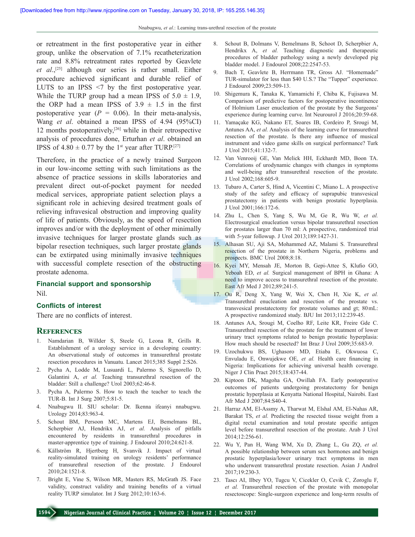or retreatment in the first postoperative year in either group, unlike the observation of 7.1% recatheterization rate and 8.8% retreatment rates reported by Geavlete *et al*.,[25] although our series is rather small. Either procedure achieved significant and durable relief of LUTS to an IPSS <7 by the first postoperative year. While the TURP group had a mean IPSS of  $5.0 \pm 1.9$ , the ORP had a mean IPSS of  $3.9 \pm 1.5$  in the first postoperative year  $(P = 0.06)$ . In their meta-analysis, Wang *et al*. obtained a mean IPSS of 4.94 (95%CI) 12 months postoperatively, $[26]$  while in their retrospective analysis of procedures done, Erturhan *et al*. obtained an IPSS of  $4.80 \pm 0.77$  by the 1<sup>st</sup> year after TURP.<sup>[27]</sup>

Therefore, in the practice of a newly trained Surgeon in our low‑income setting with such limitations as the absence of practice sessions in skills laboratories and prevalent direct out‑of‑pocket payment for needed medical services, appropriate patient selection plays a significant role in achieving desired treatment goals of relieving infravesical obstruction and improving quality of life of patients. Obviously, as the speed of resection improves and/or with the deployment of other minimally invasive techniques for larger prostate glands such as bipolar resection techniques, such larger prostate glands can be extirpated using minimally invasive techniques with successful complete resection of the obstructing prostate adenoma.

#### **Financial support and sponsorship** Nil.

#### **Conflicts of interest**

There are no conflicts of interest.

#### **References**

- 1. Namdarian B, Willder S, Steele G, Leona R, Grills R. Establishment of a urology service in a developing country: An observational study of outcomes in transurethral prostate resection procedures in Vanuatu. Lancet 2015;385 Suppl 2:S26.
- 2. Pycha A, Lodde M, Lusuardi L, Palermo S, Signorello D, Galantini A, *et al.* Teaching transurethral resection of the bladder: Still a challenge? Urol 2003;62:46‑8.
- 3. Pycha A, Palermo S. How to teach the teacher to teach the TUR-B. Int J Surg 2007;5:81-5.
- 4. Nnabugwu II. SIU scholar: Dr. Ikenna ifeanyi nnabugwu. Urology 2014;83:963‑4.
- 5. Schout BM, Persoon MC, Martens EJ, Bemelmans BL, Scherpbier AJ, Hendrikx AJ, *et al.* Analysis of pitfalls encountered by residents in transurethral procedures in master-apprentice type of training. J Endourol 2010;24:621-8.
- 6. Källström R, Hjertberg H, Svanvik J. Impact of virtual reality‑simulated training on urology residents' performance of transurethral resection of the prostate. J Endourol 2010;24:1521‑8.
- 7. Bright E, Vine S, Wilson MR, Masters RS, McGrath JS. Face validity, construct validity and training benefits of a virtual reality TURP simulator. Int J Surg 2012;10:163-6.
- 8. Schout B, Dolmans V, Bemelmans B, Schoot D, Scherpbier A, Hendrikx A, *et al.* Teaching diagnostic and therapeutic procedures of bladder pathology using a newly developed pig bladder model. J Endourol 2008;22:2547‑53.
- 9. Bach T, Geavlete B, Herrmann TR, Gross AJ. "Homemade" TUR-simulator for less than \$40 U.S.? The "Tupper" experience. J Endourol 2009;23:509‑13.
- 10. Shigemura K, Tanaka K, Yamamichi F, Chiba K, Fujisawa M. Comparison of predictive factors for postoperative incontinence of Holmium Laser enucleation of the prostate by the Surgeons' experience during learning curve. Int Neurourol J 2016;20:59-68.
- 11. Yamaçake KG, Nakano ET, Soares IB, Cordeiro P, Srougi M, Antunes AA, *et al.* Analysis of the learning curve for transurethral resection of the prostate. Is there any influence of musical instrument and video game skills on surgical performance? Turk J Urol 2015;41:132‑7.
- 12. Van Venrooij GE, Van Melick HH, Eckhardt MD, Boon TA. Correlations of urodynamic changes with changes in symptoms and well-being after transurethral resection of the prostate. J Urol 2002;168:605‑9.
- 13. Tubaro A, Carter S, Hind A, Vicentini C, Miano L. A prospective study of the safety and efficacy of suprapubic transvesical prostatectomy in patients with benign prostatic hyperplasia. J Urol 2001;166:172‑6.
- 14. Zhu L, Chen S, Yang S, Wu M, Ge R, Wu W, *et al.* Electrosurgical enucleation versus bipolar transurethral resection for prostates larger than 70 ml: A prospective, randomized trial with 5-year followup. J Urol 2013;189:1427-31.
- 15. Alhasan SU, Aji SA, Mohammed AZ, Malami S. Transurethral resection of the prostate in Northern Nigeria, problems and prospects. BMC Urol 2008;8:18.
- 16. Kyei MY, Mensah JE, Morton B, Gepi‑Attee S, Klufio GO, Yeboah ED, *et al.* Surgical management of BPH in Ghana: A need to improve access to transurethral resection of the prostate. East Afr Med J 2012;89:241-5.
- 17. Ou R, Deng X, Yang W, Wei X, Chen H, Xie K, *et al.* Transurethral enucleation and resection of the prostate vs. transvesical prostatectomy for prostate volumes and gt; 80mL: A prospective randomized study. BJU Int 2013;112:239‑45.
- 18. Antunes AA, Srougi M, Coelho RF, Leite KR, Freire Gde C. Transurethral resection of the prostate for the treatment of lower urinary tract symptoms related to benign prostatic hyperplasia: How much should be resected? Int Braz J Urol 2009;35:683-9.
- 19. Uzochukwu BS, Ughasoro MD, Etiaba E, Okwuosa C, Envuladu E, Onwujekwe OE, *et al.* Health care financing in Nigeria: Implications for achieving universal health coverage. Niger J Clin Pract 2015;18:437‑44.
- 20. Kiptoon DK, Magoha GA, Owillah FA. Early postoperative outcomes of patients undergoing prostatectomy for benign prostatic hyperplasia at Kenyatta National Hospital, Nairobi. East Afr Med J 2007;84:S40-4.
- 21. Harraz AM, El‑Assmy A, Tharwat M, Elshal AM, El‑Nahas AR, Barakat TS, *et al.* Predicting the resected tissue weight from a digital rectal examination and total prostate specific antigen level before transurethral resection of the prostate. Arab J Urol 2014;12:256‑61.
- 22. Wu Y, Pan H, Wang WM, Xu D, Zhang L, Gu ZQ, *et al.*  A possible relationship between serum sex hormones and benign prostatic hyperplasia/lower urinary tract symptoms in men who underwent transurethral prostate resection. Asian J Androl 2017;19:230‑3.
- 23. Tascı AI, Ilbey YO, Tugcu V, Cicekler O, Cevik C, Zoroglu F, *et al.* Transurethral resection of the prostate with monopolar resectoscope: Single‑surgeon experience and long‑term results of